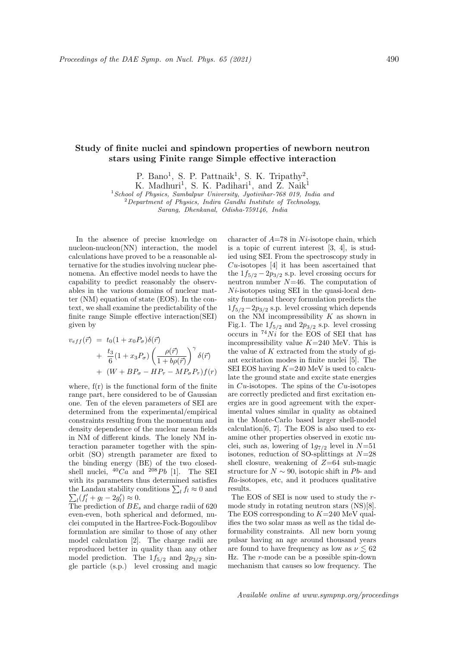## Study of finite nuclei and spindown properties of newborn neutron stars using Finite range Simple effective interaction

P. Bano<sup>1</sup>, S. P. Pattnaik<sup>1</sup>, S. K. Tripathy<sup>2</sup>,

K. Madhuri<sup>1</sup>, S. K. Padihari<sup>1</sup>, and Z. Naik<sup>1</sup>

 $1$ School of Physics, Sambalpur University, Jyotivihar-768 019, India and

 $2$ Department of Physics, Indira Gandhi Institute of Technology,

Sarang, Dhenkanal, Odisha-759146, India

In the absence of precise knowledge on nucleon-nucleon(NN) interaction, the model calculations have proved to be a reasonable alternative for the studies involving nuclear phenomena. An effective model needs to have the capability to predict reasonably the observables in the various domains of nuclear matter (NM) equation of state (EOS). In the context, we shall examine the predictability of the finite range Simple effective interaction(SEI) given by

$$
v_{eff}(\vec{r}) = t_0(1 + x_0 P_\sigma) \delta(\vec{r})
$$
  
+ 
$$
\frac{t_3}{6}(1 + x_3 P_\sigma) \left(\frac{\rho(\vec{r})}{1 + b\rho(\vec{r})}\right)^\gamma \delta(\vec{r})
$$
  
+ 
$$
(W + BP_\sigma - HP_\tau - MP_\sigma P_\tau) f(r)
$$

where,  $f(r)$  is the functional form of the finite range part, here considered to be of Gaussian one. Ten of the eleven parameters of SEI are determined from the experimental/empirical constraints resulting from the momentum and density dependence of the nuclear mean fields in NM of different kinds. The lonely NM interaction parameter together with the spinorbit (SO) strength parameter are fixed to the binding energy (BE) of the two closedshell nuclei,  ${}^{40}Ca$  and  ${}^{208}Pb$  [1]. The SEI with its parameters thus determined satisfies the Landau stability conditions  $\sum_l f_l \approx 0$  and  $\sum_l (f'_l + g_l - 2g'_l) \approx 0.$ 

The prediction of  $BE_s$  and charge radii of 620 even-even, both spherical and deformed, nuclei computed in the Hartree-Fock-Bogoulibov formulation are similar to those of any other model calculation [2]. The charge radii are reproduced better in quality than any other model prediction. The  $1f_{5/2}$  and  $2p_{3/2}$  single particle (s.p.) level crossing and magic character of  $A=78$  in N<sub>i</sub>-isotope chain, which is a topic of current interest [3, 4], is studied using SEI. From the spectroscopy study in  $Cu$ -isotopes [4] it has been ascertained that the  $1f_{5/2} - 2p_{3/2}$  s.p. level crossing occurs for neutron number  $N=46$ . The computation of  $Ni$ -isotopes using SEI in the quasi-local density functional theory formulation predicts the  $1f_{5/2}-2p_{3/2}$  s.p. level crossing which depends on the NM incompressibility  $K$  as shown in Fig.1. The  $1f_{5/2}$  and  $2p_{3/2}$  s.p. level crossing occurs in  ${}^{74}Ni$  for the EOS of SEI that has incompressibility value  $K=240$  MeV. This is the value of  $K$  extracted from the study of giant excitation modes in finite nuclei [5]. The SEI EOS having  $K=240$  MeV is used to calculate the ground state and excite state energies in  $Cu$ -isotopes. The spins of the  $Cu$ -isotopes are correctly predicted and first excitation energies are in good agreement with the experimental values similar in quality as obtained in the Monte-Carlo based larger shell-model calculation[6, 7]. The EOS is also used to examine other properties observed in exotic nuclei, such as, lowering of  $1g_{7/2}$  level in  $N=51$ isotones, reduction of SO-splittings at  $N=28$ shell closure, weakening of  $Z=64$  sub-magic structure for  $N \sim 90$ , isotopic shift in Pb- and Ra-isotopes, etc, and it produces qualitative results.

The EOS of SEI is now used to study the rmode study in rotating neutron stars (NS)[8]. The EOS corresponding to  $K=240$  MeV qualifies the two solar mass as well as the tidal deformability constraints. All new born young pulsar having an age around thousand years are found to have frequency as low as  $\nu \lesssim 62$ Hz. The r-mode can be a possible spin-down mechanism that causes so low frequency. The

Available online at www.sympnp.org/proceedings